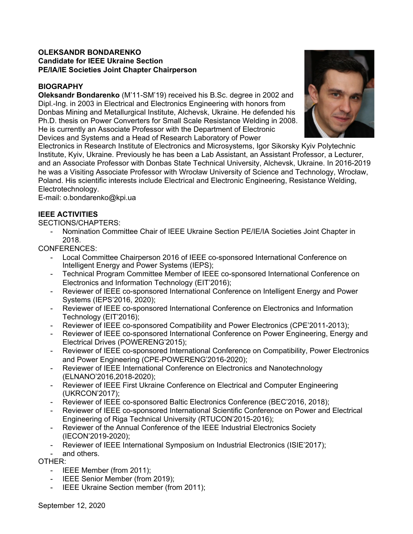### **OLEKSANDR BONDARENKO Candidate for IEEE Ukraine Section PE/IA/IE Societies Joint Chapter Chairperson**

# **BIOGRAPHY**

**Oleksandr Bondarenko** (M'11-SM'19) received his B.Sc. degree in 2002 and Dipl.-Ing. in 2003 in Electrical and Electronics Engineering with honors from Donbas Mining and Metallurgical Institute, Alchevsk, Ukraine. He defended his Ph.D. thesis on Power Converters for Small Scale Resistance Welding in 2008. He is currently an Associate Professor with the Department of Electronic Devices and Systems and a Head of Research Laboratory of Power



Electronics in Research Institute of Electronics and Microsystems, Igor Sikorsky Kyiv Polytechnic Institute, Kyiv, Ukraine. Previously he has been a Lab Assistant, an Assistant Professor, a Lecturer, and an Associate Professor with Donbas State Technical University, Alchevsk, Ukraine. In 2016-2019 he was a Visiting Associate Professor with Wrocław University of Science and Technology, Wrocław, Poland. His scientific interests include Electrical and Electronic Engineering, Resistance Welding, Electrotechnology.

E-mail: o.bondarenko@kpi.ua

# **IEEE ACTIVITIES**

SECTIONS/CHAPTERS:

- Nomination Committee Chair of IEEE Ukraine Section PE/IE/IA Societies Joint Chapter in 2018.

CONFERENCES:

- Local Committee Chairperson 2016 of IEEE co-sponsored International Conference on Intelligent Energy and Power Systems (IEPS);
- Technical Program Committee Member of IEEE co-sponsored International Conference on Electronics and Information Technology (EIT'2016);
- Reviewer of IEEE co-sponsored International Conference on Intelligent Energy and Power Systems (IEPS'2016, 2020);
- Reviewer of IEEE co-sponsored International Conference on Electronics and Information Technology (EIT'2016);
- Reviewer of IEEE co-sponsored Compatibility and Power Electronics (CPE'2011-2013);
- Reviewer of IEEE co-sponsored International Conference on Power Engineering, Energy and Electrical Drives (POWERENG'2015);
- Reviewer of IEEE co-sponsored International Conference on Compatibility, Power Electronics and Power Engineering (CPE-POWERENG'2016-2020);
- Reviewer of IEEE International Conference on Electronics and Nanotechnology (ELNANO'2016,2018-2020);
- Reviewer of IEEE First Ukraine Conference on Electrical and Computer Engineering (UKRCON'2017);
- Reviewer of IEEE co-sponsored Baltic Electronics Conference (BEC'2016, 2018);
- Reviewer of IEEE co-sponsored International Scientific Conference on Power and Electrical Engineering of Riga Technical University (RTUCON'2015-2016);
- Reviewer of the Annual Conference of the IEEE Industrial Electronics Society (IECON'2019-2020);
- Reviewer of IEEE International Symposium on Industrial Electronics (ISIE'2017);
- and others.

OTHER:

- IEEE Member (from 2011);
- IEEE Senior Member (from 2019);
- IEEE Ukraine Section member (from 2011);